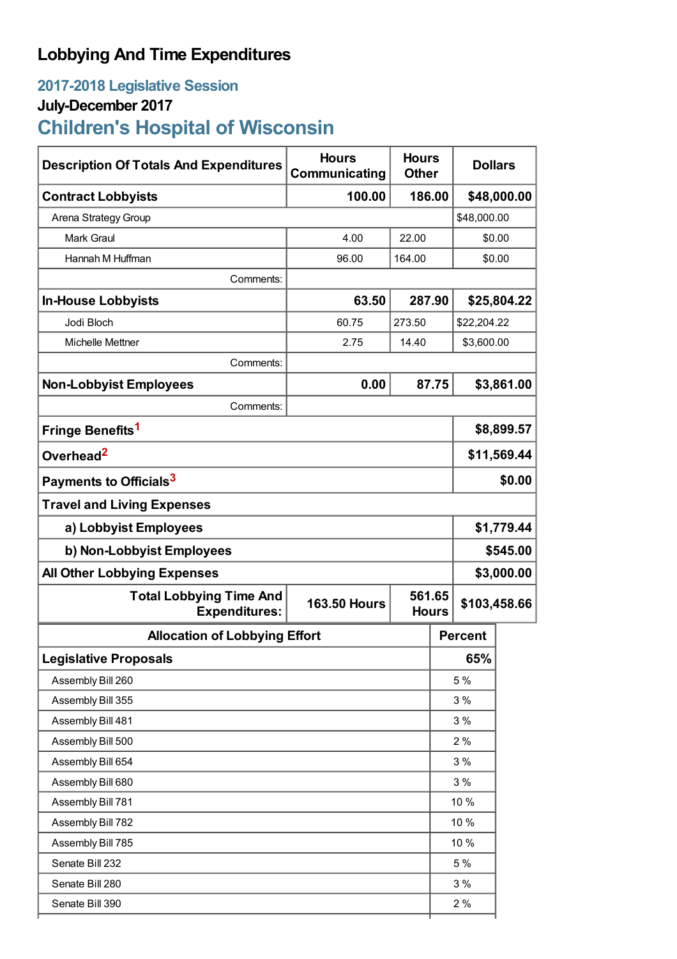## **Lobbying And Time Expenditures**

## **2017-2018 Legislative Session**

### **July-December 2017**

# **Children's Hospital of Wisconsin**

| <b>Description Of Totals And Expenditures</b>          | <b>Hours</b><br>Communicating |        | <b>Hours</b><br><b>Dollars</b><br><b>Other</b> |                |              |  |
|--------------------------------------------------------|-------------------------------|--------|------------------------------------------------|----------------|--------------|--|
| <b>Contract Lobbyists</b>                              | 100.00                        | 186.00 |                                                | \$48,000.00    |              |  |
| Arena Strategy Group                                   |                               |        |                                                | \$48,000.00    |              |  |
| <b>Mark Graul</b>                                      | 4.00                          | 22.00  |                                                | \$0.00         |              |  |
| Hannah M Huffman                                       | 96.00                         | 164.00 |                                                | \$0.00         |              |  |
| Comments:                                              |                               |        |                                                |                |              |  |
| <b>In-House Lobbyists</b>                              | 63.50                         | 287.90 |                                                | \$25,804.22    |              |  |
| Jodi Bloch                                             | 60.75                         | 273.50 |                                                | \$22,204.22    |              |  |
| Michelle Mettner                                       | 2.75                          | 14.40  |                                                | \$3,600.00     |              |  |
| Comments:                                              |                               |        |                                                |                |              |  |
| <b>Non-Lobbyist Employees</b>                          | 0.00                          | 87.75  |                                                | \$3,861.00     |              |  |
| Comments:                                              |                               |        |                                                |                |              |  |
| Fringe Benefits <sup>1</sup>                           |                               |        |                                                | \$8,899.57     |              |  |
| Overhead <sup>2</sup>                                  |                               |        |                                                | \$11,569.44    |              |  |
| Payments to Officials <sup>3</sup>                     |                               |        |                                                | \$0.00         |              |  |
| <b>Travel and Living Expenses</b>                      |                               |        |                                                |                |              |  |
| a) Lobbyist Employees                                  |                               |        |                                                | \$1,779.44     |              |  |
| b) Non-Lobbyist Employees                              |                               |        |                                                | \$545.00       |              |  |
| <b>All Other Lobbying Expenses</b>                     |                               |        |                                                | \$3,000.00     |              |  |
| <b>Total Lobbying Time And</b><br><b>Expenditures:</b> | <b>163.50 Hours</b>           |        | 561.65<br><b>Hours</b>                         |                | \$103,458.66 |  |
| <b>Allocation of Lobbying Effort</b>                   |                               |        |                                                | <b>Percent</b> |              |  |
| <b>Legislative Proposals</b>                           |                               |        |                                                | 65%            |              |  |
| Assembly Bill 260                                      |                               |        |                                                | 5 %            |              |  |
| Assembly Bill 355                                      |                               |        |                                                | 3%             |              |  |
| Assembly Bill 481                                      |                               |        |                                                | 3%             |              |  |
| Assembly Bill 500                                      |                               |        |                                                | 2%             |              |  |
| Assembly Bill 654                                      |                               |        |                                                | 3%             |              |  |
| Assembly Bill 680                                      |                               |        |                                                | 3%             |              |  |
| Assembly Bill 781                                      |                               |        |                                                | 10 %           |              |  |
| Assembly Bill 782                                      |                               |        |                                                | 10 %           |              |  |
| Assembly Bill 785                                      |                               |        |                                                | 10 %           |              |  |
| Senate Bill 232                                        |                               |        |                                                | 5 %            |              |  |
| Senate Bill 280                                        |                               |        |                                                | 3%             |              |  |
| Senate Bill 390                                        |                               |        |                                                | 2%             |              |  |